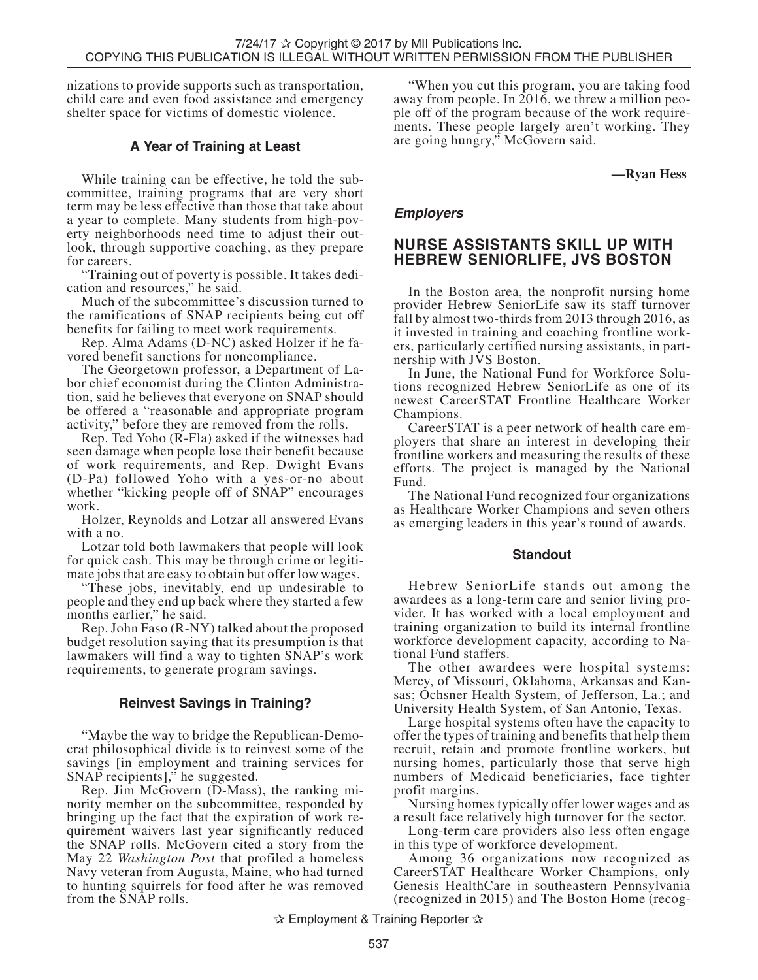nizations to provide supports such as transportation, child care and even food assistance and emergency shelter space for victims of domestic violence.

# **A Year of Training at Least**

While training can be effective, he told the subcommittee, training programs that are very short term may be less effective than those that take about a year to complete. Many students from high-pov- erty neighborhoods need time to adjust their out- look, through supportive coaching, as they prepare for careers.

"Training out of poverty is possible. It takes dedi- cation and resources," he said.

Much of the subcommittee's discussion turned to the ramifications of SNAP recipients being cut off benefits for failing to meet work requirements.

Rep. Alma Adams (D-NC) asked Holzer if he fa- vored benefit sanctions for noncompliance.

The Georgetown professor, a Department of La-<br>bor chief economist during the Clinton Administra-<br>tion, said he believes that everyone on SNAP should be offered a "reasonable and appropriate program activity," before they are removed from the rolls.

Rep. Ted Yoho (R-Fla) asked if the witnesses had seen damage when people lose their benefit because of work requirements, and Rep. Dwight Evans (D-Pa) followed Yoho with a yes-or-no about whether "kicking people off of SNAP" encourages work.

Holzer, Reynolds and Lotzar all answered Evans with a no.

Lotzar told both lawmakers that people will look for quick cash. This may be through crime or legitimate jobs that are easy to obtain but offer low wages.

"These jobs, inevitably, end up undesirable to people and they end up back where they started a few months earlier," he said.

Rep. John Faso (R-NY) talked about the proposed budget resolution saying that its presumption is that lawmakers will find a way to tighten SNAP's work requirements, to generate program savings.

## **Reinvest Savings in Training?**

"Maybe the way to bridge the Republican-Democrat philosophical divide is to reinvest some of the savings [in employment and training services for SNAP recipients]," he suggested.

Rep. Jim McGovern (D-Mass), the ranking minority member on the subcommittee, responded by bringing up the fact that the expiration of work requirement waivers last year significantly reduced the SNAP rolls. McGovern cited a story from the May 22 *Washington Post* that profiled a homeless Navy veteran from Augusta, Maine, who had turned to hunting squirrels for food after he was removed from the SNAP rolls.

"When you cut this program, you are taking food away from people. In 2016, we threw a million people off of the program because of the work require-<br>ments. These people largely aren't working. They are going hungry," McGovern said.

**—Ryan Hess**

## **Employers**

# **NURSE ASSISTANTS SKILL UP WITH HEBREW SENIORLIFE, JVS BOSTON**

In the Boston area, the nonprofit nursing home provider Hebrew SeniorLife saw its staff turnover fall by almost two-thirds from 2013 through 2016, as it invested in training and coaching frontline work-<br>ers, particularly certified nursing assistants, in part-<br>nership with JVS Boston.

In June, the National Fund for Workforce Solu- tions recognized Hebrew SeniorLife as one of its newest CareerSTAT Frontline Healthcare Worker Champions.

CareerSTAT is a peer network of health care employers that share an interest in developing their frontline workers and measuring the results of these efforts. The project is managed by the National Fund.

The National Fund recognized four organizations as Healthcare Worker Champions and seven others as emerging leaders in this year's round of awards.

## **Standout**

Hebrew SeniorLife stands out among the awardees as a long-term care and senior living provider. It has worked with a local employment and training organization to build its internal frontline workforce development capacity, according to National Fund staffers.

The other awardees were hospital systems: Mercy, of Missouri, Oklahoma, Arkansas and Kansas; Ochsner Health System, of Jefferson, La.; and University Health System, of San Antonio, Texas.

Large hospital systems often have the capacity to offer the types of training and benefits that help them recruit, retain and promote frontline workers, but nursing homes, particularly those that serve high numbers of Medicaid beneficiaries, face tighter profit margins.

Nursing homes typically offer lower wages and as a result face relatively high turnover for the sector.

Long-term care providers also less often engage in this type of workforce development.

Among 36 organizations now recognized as CareerSTAT Healthcare Worker Champions, only Genesis HealthCare in southeastern Pennsylvania (recognized in 2015) and The Boston Home (recog-

✰ Employment & Training Reporter ✰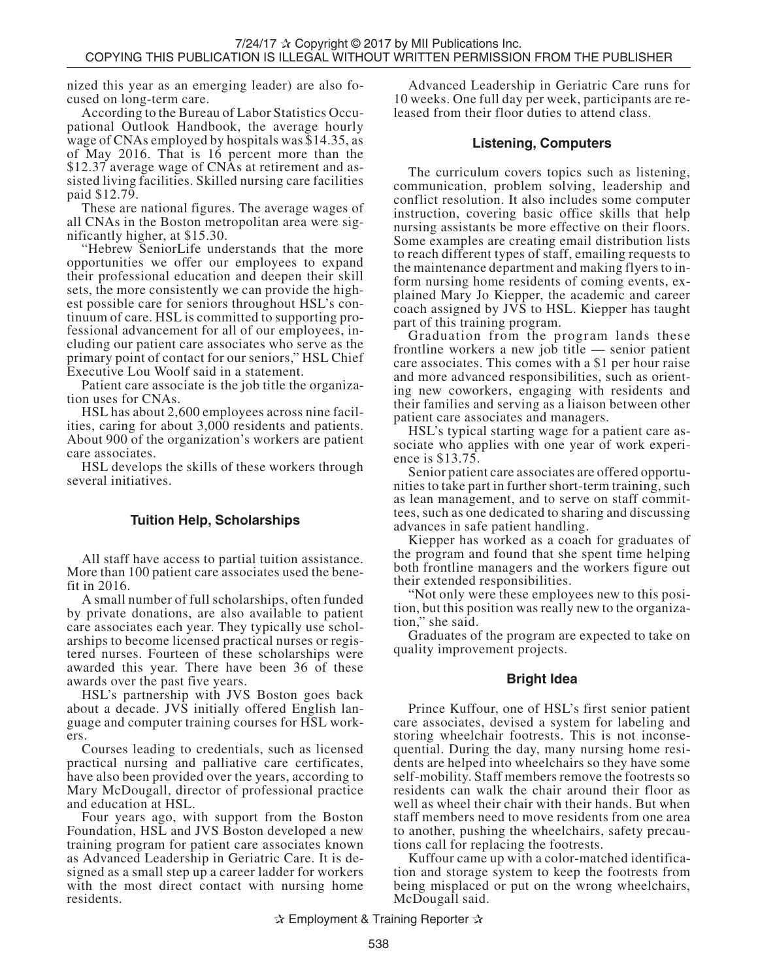nized this year as an emerging leader) are also fo- cused on long-term care.

According to the Bureau of Labor Statistics Occu- pational Outlook Handbook, the average hourly wage of CNAs employed by hospitals was \$14.35, as of May 2016. That is 16 percent more than the \$12.37 average wage of CNAs at retirement and as- sisted living facilities. Skilled nursing care facilities paid \$12.79.

These are national figures. The average wages of all CNAs in the Boston metropolitan area were sig- nificantly higher, at \$15.30.

"Hebrew SeniorLife understands that the more opportunities we offer our employees to expand their professional education and deepen their skill sets, the more consistently we can provide the high-<br>est possible care for seniors throughout HSL's con-<br>tinuum of care. HSL is committed to supporting pro-<br>fessional advancement for all of our employees, in-<br>cluding our p primary point of contact for our seniors," HSL Chief Executive Lou Woolf said in a statement.

Patient care associate is the job title the organiza-<br>tion uses for CNAs.

HSL has about 2,600 employees across nine facilities, caring for about 3,000 residents and patients. About 900 of the organization's workers are patient care associates.

HSL develops the skills of these workers through several initiatives.

## **Tuition Help, Scholarships**

All staff have access to partial tuition assistance. More than 100 patient care associates used the benefit in 2016.

A small number of full scholarships, often funded by private donations, are also available to patient care associates each year. They typically use scholarships to become licensed practical nurses or registered nurses. Fourteen of these scholarships were awarded this year. There have been 36 of these awards over the past five years.

HSL's partnership with JVS Boston goes back about a decade. JVS initially offered English language and computer training courses for HSL workers.

Courses leading to credentials, such as licensed practical nursing and palliative care certificates, have also been provided over the years, according to Mary McDougall, director of professional practice and education at HSL.

Four years ago, with support from the Boston Foundation, HSL and JVS Boston developed a new training program for patient care associates known as Advanced Leadership in Geriatric Care. It is designed as a small step up a career ladder for workers with the most direct contact with nursing home residents.

Advanced Leadership in Geriatric Care runs for 10 weeks. One full day per week, participants are re- leased from their floor duties to attend class.

#### **Listening, Computers**

The curriculum covers topics such as listening, communication, problem solving, leadership and conflict resolution. It also includes some computer instruction, covering basic office skills that help nursing assistants be more effective on their floors. Some examples are creating email distribution lists to reach different types of staff, emailing requests to the maintenance department and making flyers to in- form nursing home residents of coming events, ex- plained Mary Jo Kiepper, the academic and career coach assigned by  $J\tilde{V}\tilde{S}$  to HSL. Kiepper has taught part of this training program.

Graduation from the program lands these frontline workers a new job title — senior patient care associates. This comes with a \$1 per hour raise and more advanced responsibilities, such as orient- ing new coworkers, engaging with residents and their families and serving as a liaison between other patient care associates and managers.

HSL's typical starting wage for a patient care associate who applies with one year of work experience is \$13.75.

Senior patient care associates are offered opportunities to take part in further short-term training, such as lean management, and to serve on staff committees, such as one dedicated to sharing and discussing advances in safe patient handling.

Kiepper has worked as a coach for graduates of the program and found that she spent time helping both frontline managers and the workers figure out their extended responsibilities.

"Not only were these employees new to this position, but this position was really new to the organization," she said.

Graduates of the program are expected to take on quality improvement projects.

## **Bright Idea**

Prince Kuffour, one of HSL's first senior patient care associates, devised a system for labeling and storing wheelchair footrests. This is not inconsequential. During the day, many nursing home residents are helped into wheelchairs so they have some self-mobility. Staff members remove the footrests so residents can walk the chair around their floor as well as wheel their chair with their hands. But when staff members need to move residents from one area to another, pushing the wheelchairs, safety precautions call for replacing the footrests.

Kuffour came up with a color-matched identification and storage system to keep the footrests from being misplaced or put on the wrong wheelchairs, McDougall said.

✰ Employment & Training Reporter ✰